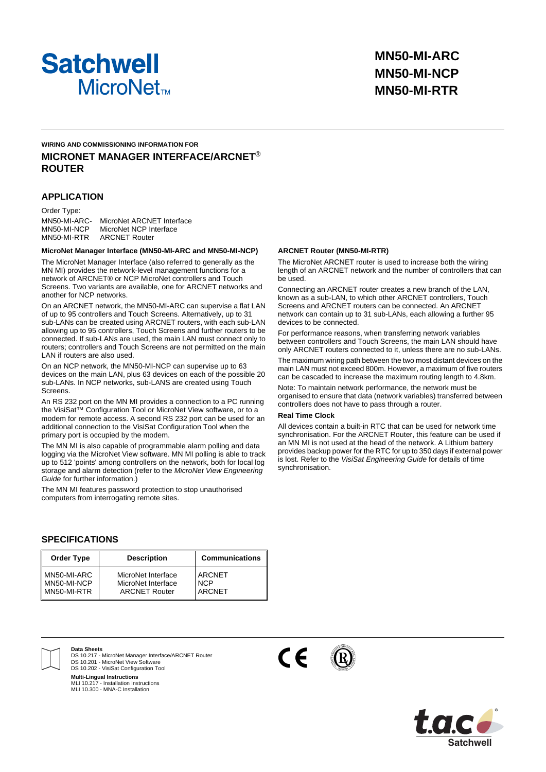

# **WIRING AND COMMISSIONING INFORMATION FOR MICRONET MANAGER INTERFACE/ARCNET**® **ROUTER**

## **APPLICATION**

Order Type: MN50-MI-ARC MN50-MI-NCP MN50-MI-RTR MicroNet ARCNET Interface MicroNet NCP Interface ARCNET Router

#### **MicroNet Manager Interface (MN50-MI-ARC and MN50-MI-NCP)**

The MicroNet Manager Interface (also referred to generally as the MN MI) provides the network-level management functions for a network of ARCNET® or NCP MicroNet controllers and Touch Screens. Two variants are available, one for ARCNET networks and another for NCP networks.

On an ARCNET network, the MN50-MI-ARC can supervise a flat LAN of up to 95 controllers and Touch Screens. Alternatively, up to 31 sub-LANs can be created using ARCNET routers, with each sub-LAN allowing up to 95 controllers, Touch Screens and further routers to be connected. If sub-LANs are used, the main LAN must connect only to routers; controllers and Touch Screens are not permitted on the main LAN if routers are also used.

On an NCP network, the MN50-MI-NCP can supervise up to 63 devices on the main LAN, plus 63 devices on each of the possible 20 sub-LANs. In NCP networks, sub-LANS are created using Touch Screens.

An RS 232 port on the MN MI provides a connection to a PC running the VisiSat™ Configuration Tool or MicroNet View software, or to a modem for remote access. A second RS 232 port can be used for an additional connection to the VisiSat Configuration Tool when the primary port is occupied by the modem.

The MN MI is also capable of programmable alarm polling and data logging via the MicroNet View software. MN MI polling is able to track up to 512 'points' among controllers on the network, both for local log storage and alarm detection (refer to the *MicroNet View Engineering Guide* for further information.)

The MN MI features password protection to stop unauthorised computers from interrogating remote sites.

## **ARCNET Router (MN50-MI-RTR)**

The MicroNet ARCNET router is used to increase both the wiring length of an ARCNET network and the number of controllers that can be used.

Connecting an ARCNET router creates a new branch of the LAN, known as a sub-LAN, to which other ARCNET controllers, Touch Screens and ARCNET routers can be connected. An ARCNET network can contain up to 31 sub-LANs, each allowing a further 95 devices to be connected.

For performance reasons, when transferring network variables between controllers and Touch Screens, the main LAN should have only ARCNET routers connected to it, unless there are no sub-LANs. The maximum wiring path between the two most distant devices on the main LAN must not exceed 800m. However, a maximum of five routers can be cascaded to increase the maximum routing length to 4.8km.

Note: To maintain network performance, the network must be organised to ensure that data (network variables) transferred between controllers does not have to pass through a router.

#### **Real Time Clock**

All devices contain a built-in RTC that can be used for network time synchronisation. For the ARCNET Router, this feature can be used if an MN MI is not used at the head of the network. A Lithium battery provides backup power for the RTC for up to 350 days if external power is lost. Refer to the *VisiSat Engineering Guide* for details of time synchronisation.

## **SPECIFICATIONS**

| <b>Order Type</b> | <b>Description</b>   | <b>Communications</b> |
|-------------------|----------------------|-----------------------|
| MN50-MI-ARC       | MicroNet Interface   | <b>ARCNET</b>         |
| MN50-MI-NCP       | MicroNet Interface   | <b>NCP</b>            |
| MN50-MI-RTR       | <b>ARCNET Router</b> | <b>ARCNET</b>         |



**Data Sheets** DS 10.217 - MicroNet Manager Interface/ARCNET Router DS 10.201 - MicroNet View Software

DS 10.202 - VisiSat Configuration Tool

**Multi-Lingual Instructions** MLI 10.217 - Installation Instructions MLI 10.300 - MNA-C Installation



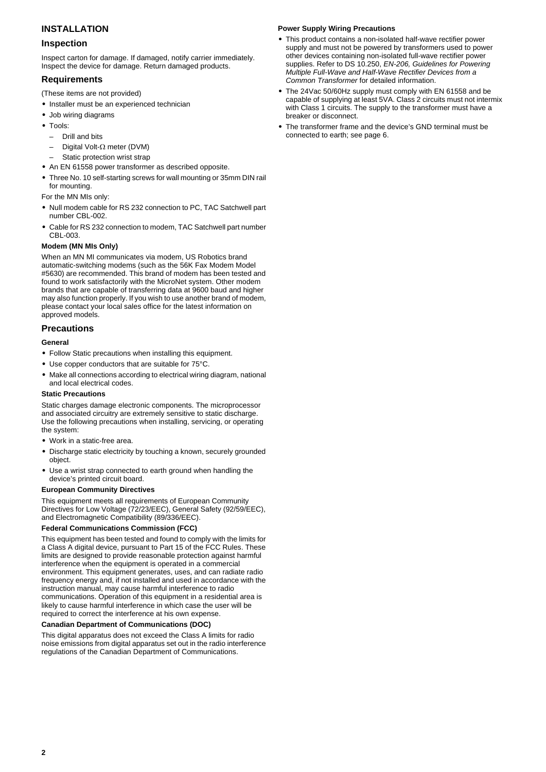# **INSTALLATION**

## **Inspection**

Inspect carton for damage. If damaged, notify carrier immediately. Inspect the device for damage. Return damaged products.

## **Requirements**

- (These items are not provided)
- **•** Installer must be an experienced technician
- **•** Job wiring diagrams
- **•** Tools:
	- Drill and bits
	- Digital Volt-Ω meter (DVM)
- Static protection wrist strap
- **•** An EN 61558 power transformer as described opposite.
- **•** Three No. 10 self-starting screws for wall mounting or 35mm DIN rail for mounting.

For the MN MIs only:

- **•** Null modem cable for RS 232 connection to PC, TAC Satchwell part number CBL-002.
- **•** Cable for RS 232 connection to modem, TAC Satchwell part number CBL-003.

### <span id="page-1-0"></span>**Modem (MN MIs Only)**

When an MN MI communicates via modem, US Robotics brand automatic-switching modems (such as the 56K Fax Modem Model #5630) are recommended. This brand of modem has been tested and found to work satisfactorily with the MicroNet system. Other modem brands that are capable of transferring data at 9600 baud and higher may also function properly. If you wish to use another brand of modem, please contact your local sales office for the latest information on approved models.

## **Precautions**

### **General**

- **•** Follow Static precautions when installing this equipment.
- **•** Use copper conductors that are suitable for 75°C.
- **•** Make all connections according to electrical wiring diagram, national and local electrical codes.

### **Static Precautions**

Static charges damage electronic components. The microprocessor and associated circuitry are extremely sensitive to static discharge. Use the following precautions when installing, servicing, or operating the system:

- **•** Work in a static-free area.
- **•** Discharge static electricity by touching a known, securely grounded object.
- **•** Use a wrist strap connected to earth ground when handling the device's printed circuit board.

### **European Community Directives**

This equipment meets all requirements of European Community Directives for Low Voltage (72/23/EEC), General Safety (92/59/EEC), and Electromagnetic Compatibility (89/336/EEC).

### **Federal Communications Commission (FCC)**

This equipment has been tested and found to comply with the limits for a Class A digital device, pursuant to Part 15 of the FCC Rules. These limits are designed to provide reasonable protection against harmful interference when the equipment is operated in a commercial environment. This equipment generates, uses, and can radiate radio frequency energy and, if not installed and used in accordance with the instruction manual, may cause harmful interference to radio communications. Operation of this equipment in a residential area is likely to cause harmful interference in which case the user will be required to correct the interference at his own expense.

### **Canadian Department of Communications (DOC)**

This digital apparatus does not exceed the Class A limits for radio noise emissions from digital apparatus set out in the radio interference regulations of the Canadian Department of Communications.

### **Power Supply Wiring Precautions**

- **•** This product contains a non-isolated half-wave rectifier power supply and must not be powered by transformers used to power other devices containing non-isolated full-wave rectifier power supplies. Refer to DS 10.250, *EN-206, Guidelines for Powering Multiple Full-Wave and Half-Wave Rectifier Devices from a Common Transformer* for detailed information.
- **•** The 24Vac 50/60Hz supply must comply with EN 61558 and be capable of supplying at least 5VA. Class 2 circuits must not intermix with Class 1 circuits. The supply to the transformer must have a breaker or disconnect.
- **•** The transformer frame and the device's GND terminal must be connected to earth; see [page 6](#page-5-0).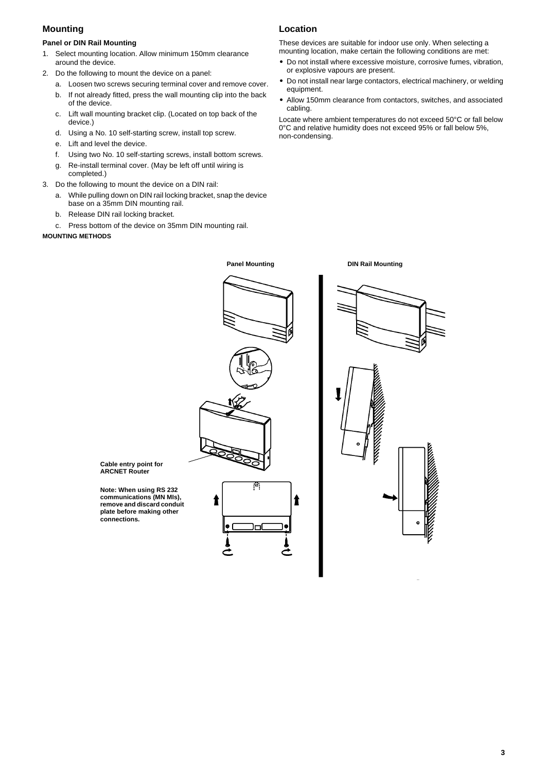# **Mounting**

# **Panel or DIN Rail Mounting**

- 1. Select mounting location. Allow minimum 150mm clearance around the device.
- 2. Do the following to mount the device on a panel:
	- a. Loosen two screws securing terminal cover and remove cover.
	- b. If not already fitted, press the wall mounting clip into the back of the device.
	- c. Lift wall mounting bracket clip. (Located on top back of the device.)
	- d. Using a No. 10 self-starting screw, install top screw.
	- e. Lift and level the device.
	- f. Using two No. 10 self-starting screws, install bottom screws.
	- g. Re-install terminal cover. (May be left off until wiring is completed.)
- 3. Do the following to mount the device on a DIN rail:
	- a. While pulling down on DIN rail locking bracket, snap the device base on a 35mm DIN mounting rail.
	- b. Release DIN rail locking bracket.
	- c. Press bottom of the device on 35mm DIN mounting rail.

## **MOUNTING METHODS**

# **Location**

**Panel Mounting Community Community Panel Mounting** 

These devices are suitable for indoor use only. When selecting a mounting location, make certain the following conditions are met:

- **•** Do not install where excessive moisture, corrosive fumes, vibration, or explosive vapours are present.
- **•** Do not install near large contactors, electrical machinery, or welding equipment.
- **•** Allow 150mm clearance from contactors, switches, and associated cabling.

Locate where ambient temperatures do not exceed 50°C or fall below 0°C and relative humidity does not exceed 95% or fall below 5%, non-condensing.



**Cable entry point for ARCNET Router**

**Note: When using RS 232 communications (MN MIs), remove and discard conduit plate before making other connections.**

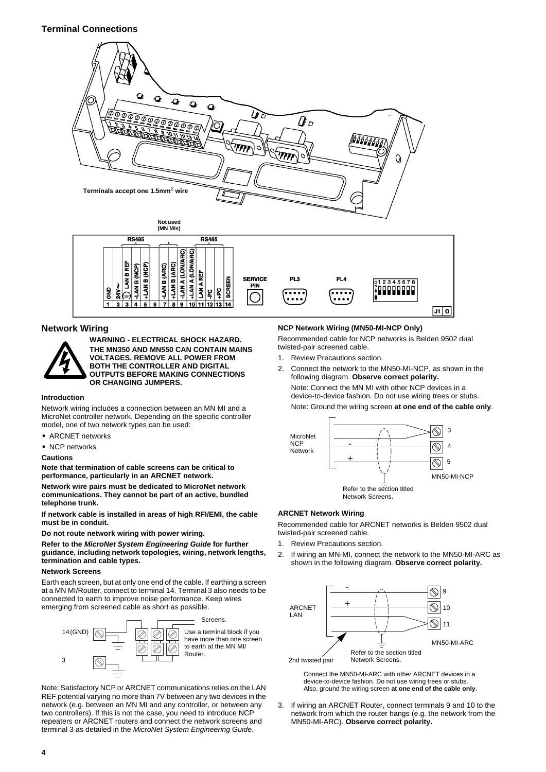# **Terminal Connections**



14

## **Network Wiring**

 $\overline{\mathbf{z}}$  $34$ 



**WARNING - ELECTRICAL SHOCK HAZARD. THE MN350 AND MN550 CAN CONTAIN MAINS VOLTAGES. REMOVE ALL POWER FROM BOTH THE CONTROLLER AND DIGITAL OUTPUTS BEFORE MAKING CONNECTIONS OR CHANGING JUMPERS.**

 $\overline{\mathbf{a}}$  $\overline{\bullet}$  $\overline{10}$  $\overline{11}$ 

### **Introduction**

Network wiring includes a connection between an MN MI and a MicroNet controller network. Depending on the specific controller model, one of two network types can be used:

- **•** ARCNET networks
- **•** NCP networks.

#### **Cautions**

**Note that termination of cable screens can be critical to performance, particularly in an ARCNET network.**

**Network wire pairs must be dedicated to MicroNet network communications. They cannot be part of an active, bundled telephone trunk.**

**If network cable is installed in areas of high RFI/EMI, the cable must be in conduit.** 

**Do not route network wiring with power wiring.**

**Refer to the** *MicroNet System Engineering Guide* **for further guidance, including network topologies, wiring, network lengths, termination and cable types.**

### **Network Screens**

Earth each screen, but at only one end of the cable. If earthing a screen at a MN MI/Router, connect to terminal 14. Terminal 3 also needs to be connected to earth to improve noise performance. Keep wires emerging from screened cable as short as possible.



Note: Satisfactory NCP or ARCNET communications relies on the LAN REF potential varying no more than 7V between any two devices in the network (e.g. between an MN MI and any controller, or between any two controllers). If this is not the case, you need to introduce NCP repeaters or ARCNET routers and connect the network screens and terminal 3 as detailed in the *MicroNet System Engineering Guide*.

## **NCP Network Wiring (MN50-MI-NCP Only)**

Recommended cable for NCP networks is Belden 9502 dual twisted-pair screened cable.

- 1. Review Precautions section.
- 2. Connect the network to the MN50-MI-NCP, as shown in the following diagram. **Observe correct polarity.** Note: Connect the MN MI with other NCP devices in a device-to-device fashion. Do not use wiring trees or stubs.

Note: Ground the wiring screen **at one end of the cable only**.

जि |



### **ARCNET Network Wiring**

Recommended cable for ARCNET networks is Belden 9502 dual twisted-pair screened cable.

- 1. Review Precautions section.
- 2. If wiring an MN-MI, connect the network to the MN50-MI-ARC as shown in the following diagram. **Observe correct polarity.**



Connect the MN50-MI-ARC with other ARCNET devices in a device-to-device fashion. Do not use wiring trees or stubs. Also, ground the wiring screen **at one end of the cable only**.

3. If wiring an ARCNET Router, connect terminals 9 and 10 to the network from which the router hangs (e.g. the network from the MN50-MI-ARC). **Observe correct polarity.**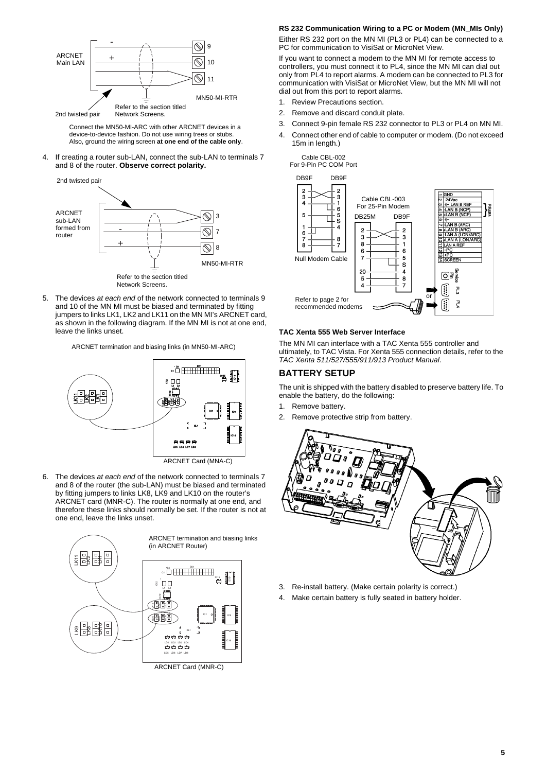

Connect the MN50-MI-ARC with other ARCNET devices in a device-to-device fashion. Do not use wiring trees or stubs. Also, ground the wiring screen **at one end of the cable only**.

4. If creating a router sub-LAN, connect the sub-LAN to terminals 7 and 8 of the router. **Observe correct polarity.**



5. The devices *at each end* of the network connected to terminals 9 and 10 of the MN MI must be biased and terminated by fitting jumpers to links LK1, LK2 and LK11 on the MN MI's ARCNET card, as shown in the following diagram. If the MN MI is not at one end, leave the links unset.

ARCNET termination and biasing links (in MN50-MI-ARC)



6. The devices *at each end* of the network connected to terminals 7 and 8 of the router (the sub-LAN) must be biased and terminated by fitting jumpers to links LK8, LK9 and LK10 on the router's ARCNET card (MNR-C). The router is normally at one end, and therefore these links should normally be set. If the router is not at one end, leave the links unset.



### **RS 232 Communication Wiring to a PC or Modem (MN\_MIs Only)**

Either RS 232 port on the MN MI (PL3 or PL4) can be connected to a PC for communication to VisiSat or MicroNet View.

If you want to connect a modem to the MN MI for remote access to controllers, you must connect it to PL4, since the MN MI can dial out only from PL4 to report alarms. A modem can be connected to PL3 for communication with VisiSat or MicroNet View, but the MN MI will not dial out from this port to report alarms.

- 1. Review Precautions section.
- 2. Remove and discard conduit plate.
- 3. Connect 9-pin female RS 232 connector to PL3 or PL4 on MN MI.
- 4. Connect other end of cable to computer or modem. (Do not exceed 15m in length.)



## **TAC Xenta 555 Web Server Interface**

The MN MI can interface with a TAC Xenta 555 controller and ultimately, to TAC Vista. For Xenta 555 connection details, refer to the *TAC Xenta 511/527/555/911/913 Product Manual*.

### **BATTERY SETUP**

The unit is shipped with the battery disabled to preserve battery life. To enable the battery, do the following:

- 1. Remove battery.
- 2. Remove protective strip from battery.



- 3. Re-install battery. (Make certain polarity is correct.)
- 4. Make certain battery is fully seated in battery holder.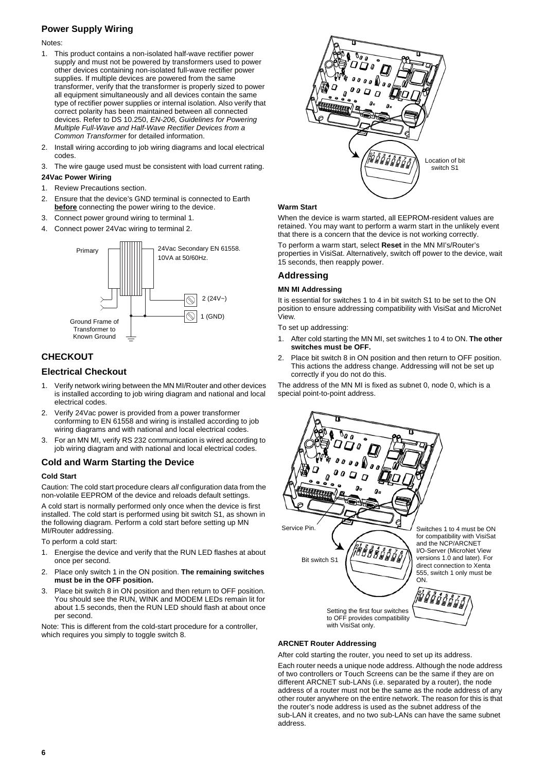# **Power Supply Wiring**

Notes:

- 1. This product contains a non-isolated half-wave rectifier power supply and must not be powered by transformers used to power other devices containing non-isolated full-wave rectifier power supplies. If multiple devices are powered from the same transformer, verify that the transformer is properly sized to power all equipment simultaneously and all devices contain the same type of rectifier power supplies or internal isolation. Also verify that correct polarity has been maintained between all connected devices. Refer to DS 10.250, *EN-206, Guidelines for Powering Multiple Full-Wave and Half-Wave Rectifier Devices from a Common Transformer* for detailed information.
- 2. Install wiring according to job wiring diagrams and local electrical codes.
- 3. The wire gauge used must be consistent with load current rating.

## <span id="page-5-0"></span>**24Vac Power Wiring**

- 1. Review Precautions section.
- 2. Ensure that the device's GND terminal is connected to Earth **before** connecting the power wiring to the device.
- 3. Connect power ground wiring to terminal 1.
- 4. Connect power 24Vac wiring to terminal 2.



# **CHECKOUT**

## **Electrical Checkout**

- Verify network wiring between the MN MI/Router and other devices is installed according to job wiring diagram and national and local electrical codes.
- 2. Verify 24Vac power is provided from a power transformer conforming to EN 61558 and wiring is installed according to job wiring diagrams and with national and local electrical codes.
- 3. For an MN MI, verify RS 232 communication is wired according to job wiring diagram and with national and local electrical codes.

## **Cold and Warm Starting the Device**

## **Cold Start**

Caution: The cold start procedure clears *all* configuration data from the non-volatile EEPROM of the device and reloads default settings.

A cold start is normally performed only once when the device is first installed. The cold start is performed using bit switch S1, as shown in the following diagram. Perform a cold start before setting up MN MI/Router addressing.

To perform a cold start:

- 1. Energise the device and verify that the RUN LED flashes at about once per second.
- 2. Place only switch 1 in the ON position. **The remaining switches must be in the OFF position.**
- 3. Place bit switch 8 in ON position and then return to OFF position. You should see the RUN, WINK and MODEM LEDs remain lit for about 1.5 seconds, then the RUN LED should flash at about once per second.

Note: This is different from the cold-start procedure for a controller, which requires you simply to toggle switch 8.



### **Warm Start**

When the device is warm started, all EEPROM-resident values are retained. You may want to perform a warm start in the unlikely event that there is a concern that the device is not working correctly.

To perform a warm start, select **Reset** in the MN MI's/Router's properties in VisiSat. Alternatively, switch off power to the device, wait 15 seconds, then reapply power.

## **Addressing**

### **MN MI Addressing**

It is essential for switches 1 to 4 in bit switch S1 to be set to the ON position to ensure addressing compatibility with VisiSat and MicroNet .<br>View

To set up addressing:

- 1. After cold starting the MN MI, set switches 1 to 4 to ON. **The other switches must be OFF.**
- 2. Place bit switch 8 in ON position and then return to OFF position. This actions the address change. Addressing will not be set up correctly if you do not do this.

The address of the MN MI is fixed as subnet 0, node 0, which is a special point-to-point address.



### **ARCNET Router Addressing**

After cold starting the router, you need to set up its address.

Each router needs a unique node address. Although the node address of two controllers or Touch Screens can be the same if they are on different ARCNET sub-LANs (i.e. separated by a router), the node address of a router must not be the same as the node address of any other router anywhere on the entire network. The reason for this is that the router's node address is used as the subnet address of the sub-LAN it creates, and no two sub-LANs can have the same subnet address.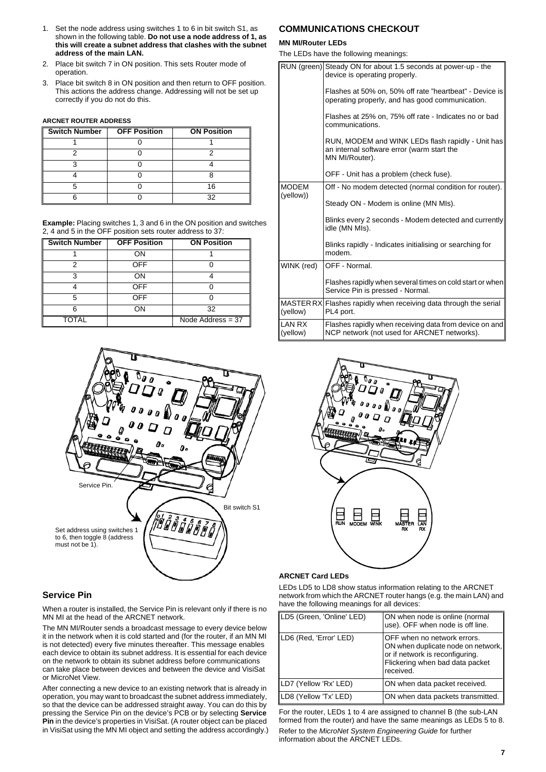- 1. Set the node address using switches 1 to 6 in bit switch S1, as shown in the following table. **Do not use a node address of 1, as this will create a subnet address that clashes with the subnet address of the main LAN.**
- 2. Place bit switch 7 in ON position. This sets Router mode of operation.
- 3. Place bit switch 8 in ON position and then return to OFF position. This actions the address change. Addressing will not be set up correctly if you do not do this.

#### **ARCNET ROUTER ADDRESS**

| IГ<br><b>Switch Number</b> | <b>OFF Position</b> | <b>ON Position</b> |
|----------------------------|---------------------|--------------------|
|                            |                     |                    |
|                            |                     |                    |
|                            |                     |                    |
|                            |                     |                    |
|                            |                     |                    |
|                            |                     |                    |

**Example:** Placing switches 1, 3 and 6 in the ON position and switches 2, 4 and 5 in the OFF position sets router address to 37:

| <b>Switch Number</b> | <b>OFF Position</b> | <b>ON Position</b>  |
|----------------------|---------------------|---------------------|
|                      | OΝ                  |                     |
| 2                    | <b>OFF</b>          |                     |
| ٩                    | OΝ                  |                     |
|                      | <b>OFF</b>          |                     |
| 5                    | <b>OFF</b>          |                     |
| ิค                   | OΝ                  | 32                  |
| <b>TOTAL</b>         |                     | Node Address $=$ 37 |



## **Service Pin**

When a router is installed, the Service Pin is relevant only if there is no MN MI at the head of the ARCNET network.

The MN MI/Router sends a broadcast message to every device below it in the network when it is cold started and (for the router, if an MN MI is not detected) every five minutes thereafter. This message enables each device to obtain its subnet address. It is essential for each device on the network to obtain its subnet address before communications can take place between devices and between the device and VisiSat or MicroNet View.

After connecting a new device to an existing network that is already in operation, you may want to broadcast the subnet address immediately, so that the device can be addressed straight away. You can do this by pressing the Service Pin on the device's PCB or by selecting **Service Pin** in the device's properties in VisiSat. (A router object can be placed in VisiSat using the MN MI object and setting the address accordingly.)

# **COMMUNICATIONS CHECKOUT**

### **MN MI/Router LEDs**

The LEDs have the following meanings:

|                           | RUN (green) Steady ON for about 1.5 seconds at power-up - the<br>device is operating properly.                    |
|---------------------------|-------------------------------------------------------------------------------------------------------------------|
|                           | Flashes at 50% on. 50% off rate "heartbeat" - Device is<br>operating properly, and has good communication.        |
|                           | Flashes at 25% on, 75% off rate - Indicates no or bad<br>communications.                                          |
|                           | RUN, MODEM and WINK LEDs flash rapidly - Unit has<br>an internal software error (warm start the<br>MN MI/Router). |
|                           | OFF - Unit has a problem (check fuse).                                                                            |
| <b>MODEM</b><br>(yellow)) | Off - No modem detected (normal condition for router).                                                            |
|                           | Steady ON - Modem is online (MN MIs).                                                                             |
|                           | Blinks every 2 seconds - Modem detected and currently<br>idle (MN MIs).                                           |
|                           | Blinks rapidly - Indicates initialising or searching for<br>modem.                                                |
| WINK (red)                | OFF - Normal.                                                                                                     |
|                           | Flashes rapidly when several times on cold start or when<br>Service Pin is pressed - Normal.                      |
| (yellow)                  | MASTER RX Flashes rapidly when receiving data through the serial<br>PL4 port.                                     |
| LAN RX<br>(yellow)        | Flashes rapidly when receiving data from device on and<br>NCP network (not used for ARCNET networks).             |



### **ARCNET Card LEDs**

LEDs LD5 to LD8 show status information relating to the ARCNET network from which the ARCNET router hangs (e.g. the main LAN) and have the following meanings for all devices:

| LD5 (Green, 'Online' LED) | ON when node is online (normal<br>use). OFF when node is off line.                                                                                   |
|---------------------------|------------------------------------------------------------------------------------------------------------------------------------------------------|
| LD6 (Red, 'Error' LED)    | OFF when no network errors.<br>ON when duplicate node on network,<br>or if network is reconfiguring.<br>Flickering when bad data packet<br>received. |
| LD7 (Yellow 'Rx' LED)     | ON when data packet received.                                                                                                                        |
| LD8 (Yellow 'Tx' LED)     | ON when data packets transmitted.                                                                                                                    |

For the router, LEDs 1 to 4 are assigned to channel B (the sub-LAN formed from the router) and have the same meanings as LEDs 5 to 8. Refer to the *MicroNet System Engineering Guide* for further

information about the ARCNET LEDs.